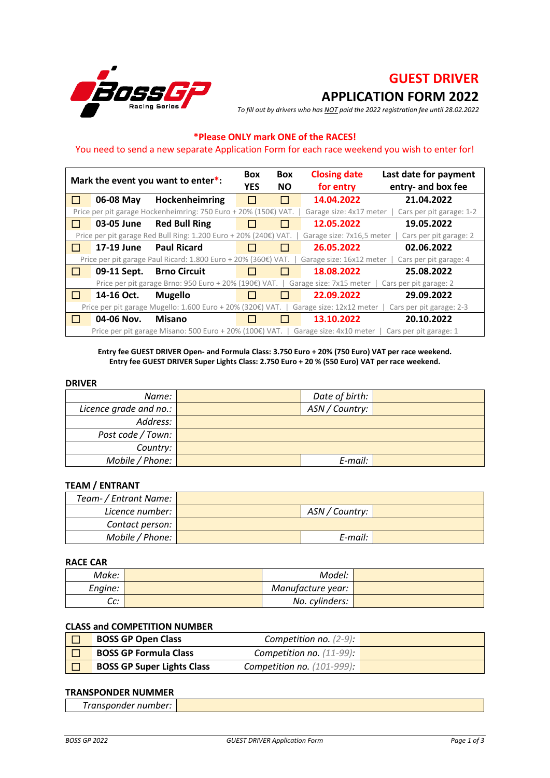

# **GUEST DRIVER APPLICATION FORM 2022**

*To fill out by drivers who has NOT paid the 2022 registration fee until 28.02.2022*

# **\*Please ONLY mark ONE of the RACES!**

#### You need to send a new separate Application Form for each race weekend you wish to enter for!

|              |             | Mark the event you want to enter*:                               | <b>Box</b><br><b>YES</b> | <b>Box</b><br><b>NO</b> | <b>Closing date</b><br>for entry | Last date for payment<br>entry- and box fee |
|--------------|-------------|------------------------------------------------------------------|--------------------------|-------------------------|----------------------------------|---------------------------------------------|
| $\mathbf{L}$ | 06-08 May   | Hockenheimring                                                   |                          | $\mathsf{L}$            | 14.04.2022                       | 21.04.2022                                  |
|              |             | Price per pit garage Hockenheimring: 750 Euro + 20% (150€) VAT.  |                          |                         | Garage size: 4x17 meter          | Cars per pit garage: 1-2                    |
| $\perp$      | 03-05 June  | <b>Red Bull Ring</b>                                             |                          | $\mathsf{L}$            | 12.05.2022                       | 19.05.2022                                  |
|              |             | Price per pit garage Red Bull Ring: 1.200 Euro + 20% (240€) VAT. |                          |                         | Garage size: 7x16,5 meter        | Cars per pit garage: 2                      |
| $\perp$      | 17-19 June  | <b>Paul Ricard</b>                                               |                          | <b>College</b>          | 26.05.2022                       | 02.06.2022                                  |
|              |             | Price per pit garage Paul Ricard: 1.800 Euro + 20% (360€) VAT.   |                          |                         | Garage size: 16x12 meter         | Cars per pit garage: 4                      |
| $\perp$      | 09-11 Sept. | <b>Brno Circuit</b>                                              |                          | H                       | 18.08.2022                       | 25.08.2022                                  |
|              |             | Price per pit garage Brno: 950 Euro + 20% (190€) VAT.            |                          |                         | Garage size: 7x15 meter          | Cars per pit garage: 2                      |
| $\Box$       | 14-16 Oct.  | <b>Mugello</b>                                                   |                          | H                       | 22.09.2022                       | 29.09.2022                                  |
|              |             | Price per pit garage Mugello: 1.600 Euro + 20% (320€) VAT.       |                          |                         | Garage size: 12x12 meter         | Cars per pit garage: 2-3                    |
|              | 04-06 Nov.  | <b>Misano</b>                                                    |                          |                         | 13.10.2022                       | 20.10.2022                                  |
|              |             | Price per pit garage Misano: 500 Euro + 20% (100€) VAT.          |                          |                         | Garage size: 4x10 meter          | Cars per pit garage: 1                      |

#### **Entry fee GUEST DRIVER Open- and Formula Class: 3.750 Euro + 20% (750 Euro) VAT per race weekend. Entry fee GUEST DRIVER Super Lights Class: 2.750 Euro + 20 % (550 Euro) VAT per race weekend.**

#### **DRIVER**

| Name:                          | Date of birth: |  |
|--------------------------------|----------------|--|
| Licence grade and no.: $\vert$ | ASN / Country: |  |
| Address:                       |                |  |
| Post code / Town:              |                |  |
| Country:                       |                |  |
| Mobile / Phone:                | E-mail:        |  |

#### **TEAM / ENTRANT**

| Team- / Entrant Name: |  |                |  |  |
|-----------------------|--|----------------|--|--|
| Licence number:       |  | ASN / Country: |  |  |
| Contact person:       |  |                |  |  |
| Mobile / Phone:       |  | E-mail:        |  |  |

#### **RACE CAR**

| Make:         | Model:            |  |
|---------------|-------------------|--|
| Engine:       | Manufacture year: |  |
| $\sim$<br>uu. | No. cylinders:    |  |

### **CLASS and COMPETITION NUMBER**

| <b>BOSS GP Open Class</b>         | Competition no. $(2-9)$ :     |  |
|-----------------------------------|-------------------------------|--|
| <b>BOSS GP Formula Class</b>      | Competition no. $(11-99)$ :   |  |
| <b>BOSS GP Super Lights Class</b> | Competition no. $(101-999)$ : |  |

#### **TRANSPONDER NUMMER**

| _<br>__ |  |
|---------|--|
|         |  |
|         |  |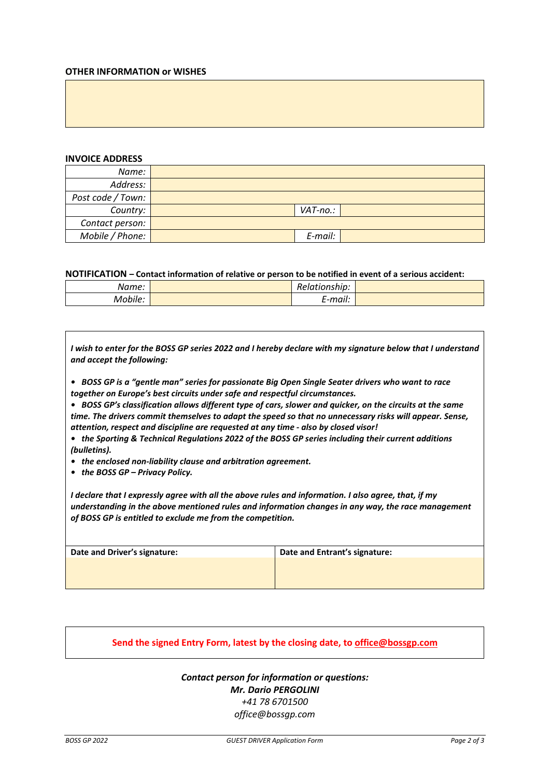#### **OTHER INFORMATION or WISHES**

#### **INVOICE ADDRESS**

| Name:             |          |  |
|-------------------|----------|--|
| Address:          |          |  |
| Post code / Town: |          |  |
| Country:          | VAT-no.: |  |
| Contact person:   |          |  |
| Mobile / Phone:   | E-mail:  |  |

**NOTIFICATION – Contact information of relative or person to be notified in event of a serious accident:**

| Name:   | Relationship:  |  |
|---------|----------------|--|
| Mobile: | . .<br>E-mail: |  |

*I wish to enter for the BOSS GP series 2022 and I hereby declare with my signature below that I understand and accept the following:*

*• BOSS GP is a "gentle man" series for passionate Big Open Single Seater drivers who want to race together on Europe's best circuits under safe and respectful circumstances.* 

*• BOSS GP's classification allows different type of cars, slower and quicker, on the circuits at the same time. The drivers commit themselves to adapt the speed so that no unnecessary risks will appear. Sense, attention, respect and discipline are requested at any time - also by closed visor!*

- *the Sporting & Technical Regulations 2022 of the BOSS GP series including their current additions (bulletins).*
- *the enclosed non-liability clause and arbitration agreement.*
- *the BOSS GP – Privacy Policy.*

*I declare that I expressly agree with all the above rules and information. I also agree, that, if my understanding in the above mentioned rules and information changes in any way, the race management of BOSS GP is entitled to exclude me from the competition.*

| Date and Driver's signature: | Date and Entrant's signature: |
|------------------------------|-------------------------------|
|                              |                               |
|                              |                               |
|                              |                               |

### **Send the signed Entry Form, latest by the closing date, to office@bossgp.com**

## *Contact person for information or questions: Mr. Dario PERGOLINI +41 78 6701500 office@bossgp.com*